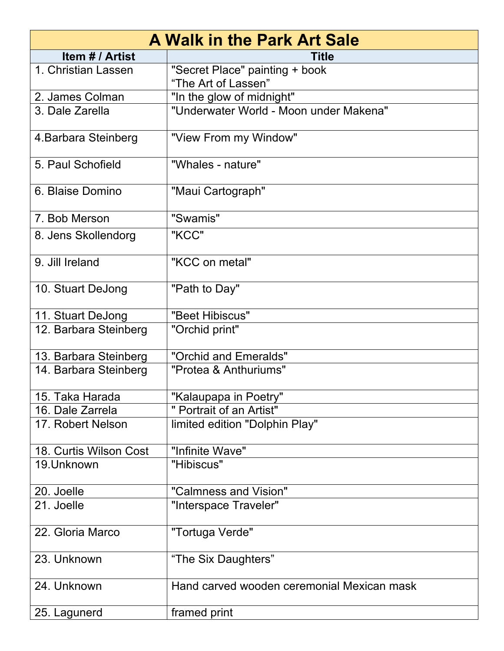| <b>A Walk in the Park Art Sale</b> |                                                       |
|------------------------------------|-------------------------------------------------------|
| Item # / Artist                    | <b>Title</b>                                          |
| 1. Christian Lassen                | "Secret Place" painting + book<br>"The Art of Lassen" |
| 2. James Colman                    | "In the glow of midnight"                             |
| 3. Dale Zarella                    | "Underwater World - Moon under Makena"                |
| 4. Barbara Steinberg               | "View From my Window"                                 |
| 5. Paul Schofield                  | "Whales - nature"                                     |
| 6. Blaise Domino                   | "Maui Cartograph"                                     |
| 7. Bob Merson                      | "Swamis"                                              |
| 8. Jens Skollendorg                | "KCC"                                                 |
| 9. Jill Ireland                    | "KCC on metal"                                        |
| 10. Stuart DeJong                  | "Path to Day"                                         |
| 11. Stuart DeJong                  | "Beet Hibiscus"                                       |
| 12. Barbara Steinberg              | "Orchid print"                                        |
| 13. Barbara Steinberg              | "Orchid and Emeralds"                                 |
| 14. Barbara Steinberg              | "Protea & Anthuriums"                                 |
| 15. Taka Harada                    | "Kalaupapa in Poetry"                                 |
| 16. Dale Zarrela                   | " Portrait of an Artist"                              |
| 17. Robert Nelson                  | limited edition "Dolphin Play"                        |
| 18. Curtis Wilson Cost             | "Infinite Wave"                                       |
| 19. Unknown                        | "Hibiscus"                                            |
| 20. Joelle                         | "Calmness and Vision"                                 |
| 21. Joelle                         | "Interspace Traveler"                                 |
| 22. Gloria Marco                   | "Tortuga Verde"                                       |
| 23. Unknown                        | "The Six Daughters"                                   |
| 24. Unknown                        | Hand carved wooden ceremonial Mexican mask            |
| 25. Lagunerd                       | framed print                                          |